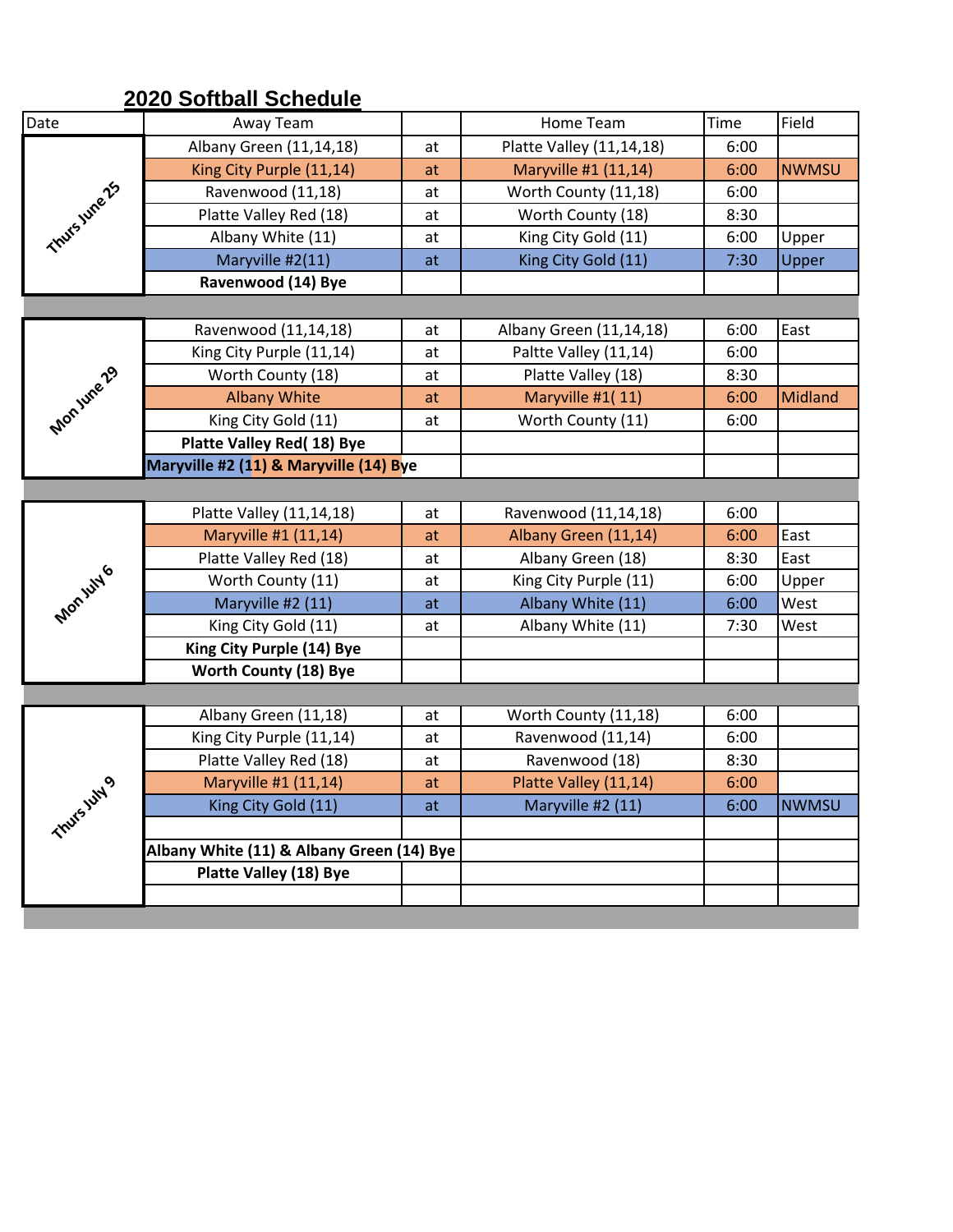## **2020 Softball Schedule**

| Date            | Away Team                                 |    | Home Team                | Time | Field        |  |
|-----------------|-------------------------------------------|----|--------------------------|------|--------------|--|
|                 | Albany Green (11,14,18)                   | at | Platte Valley (11,14,18) | 6:00 |              |  |
|                 | King City Purple (11,14)                  | at | Maryville #1 (11,14)     | 6:00 | <b>NWMSU</b> |  |
|                 | Ravenwood (11,18)                         | at | Worth County (11,18)     | 6:00 |              |  |
| Thursume 25     | Platte Valley Red (18)                    | at | Worth County (18)        | 8:30 |              |  |
|                 | Albany White (11)                         | at | King City Gold (11)      | 6:00 | Upper        |  |
|                 | Maryville #2(11)                          | at | King City Gold (11)      | 7:30 | Upper        |  |
|                 | Ravenwood (14) Bye                        |    |                          |      |              |  |
|                 |                                           |    |                          |      |              |  |
|                 | Ravenwood (11,14,18)                      | at | Albany Green (11,14,18)  | 6:00 | East         |  |
| Monjune 29      | King City Purple (11,14)                  | at | Paltte Valley (11,14)    | 6:00 |              |  |
|                 | Worth County (18)                         | at | Platte Valley (18)       | 8:30 |              |  |
|                 | <b>Albany White</b>                       | at | Maryville #1(11)         | 6:00 | Midland      |  |
|                 | King City Gold (11)                       | at | Worth County (11)        | 6:00 |              |  |
|                 | Platte Valley Red(18) Bye                 |    |                          |      |              |  |
|                 | Maryville #2 (11) & Maryville (14) Bye    |    |                          |      |              |  |
|                 |                                           |    |                          |      |              |  |
|                 | Platte Valley (11,14,18)                  | at | Ravenwood (11,14,18)     | 6:00 |              |  |
|                 | Maryville #1 (11,14)                      | at | Albany Green (11,14)     | 6:00 | East         |  |
| <b>Monity16</b> | Platte Valley Red (18)                    | at | Albany Green (18)        | 8:30 | East         |  |
|                 | Worth County (11)                         | at | King City Purple (11)    | 6:00 | Upper        |  |
|                 | Maryville #2 (11)                         | at | Albany White (11)        | 6:00 | West         |  |
|                 | King City Gold (11)                       | at | Albany White (11)        | 7:30 | West         |  |
|                 | King City Purple (14) Bye                 |    |                          |      |              |  |
|                 | <b>Worth County (18) Bye</b>              |    |                          |      |              |  |
|                 |                                           |    |                          |      |              |  |
|                 | Albany Green (11,18)                      | at | Worth County (11,18)     | 6:00 |              |  |
|                 | King City Purple (11,14)                  | at | Ravenwood (11,14)        | 6:00 |              |  |
|                 | Platte Valley Red (18)                    | at | Ravenwood (18)           | 8:30 |              |  |
| <b>July 9</b>   | Maryville #1 (11,14)                      | at | Platte Valley (11,14)    | 6:00 |              |  |
|                 | King City Gold (11)                       | at | Maryville #2 (11)        | 6:00 | <b>NWMSU</b> |  |
| Thurs.          |                                           |    |                          |      |              |  |
|                 | Albany White (11) & Albany Green (14) Bye |    |                          |      |              |  |
|                 | <b>Platte Valley (18) Bye</b>             |    |                          |      |              |  |
|                 |                                           |    |                          |      |              |  |
|                 |                                           |    |                          |      |              |  |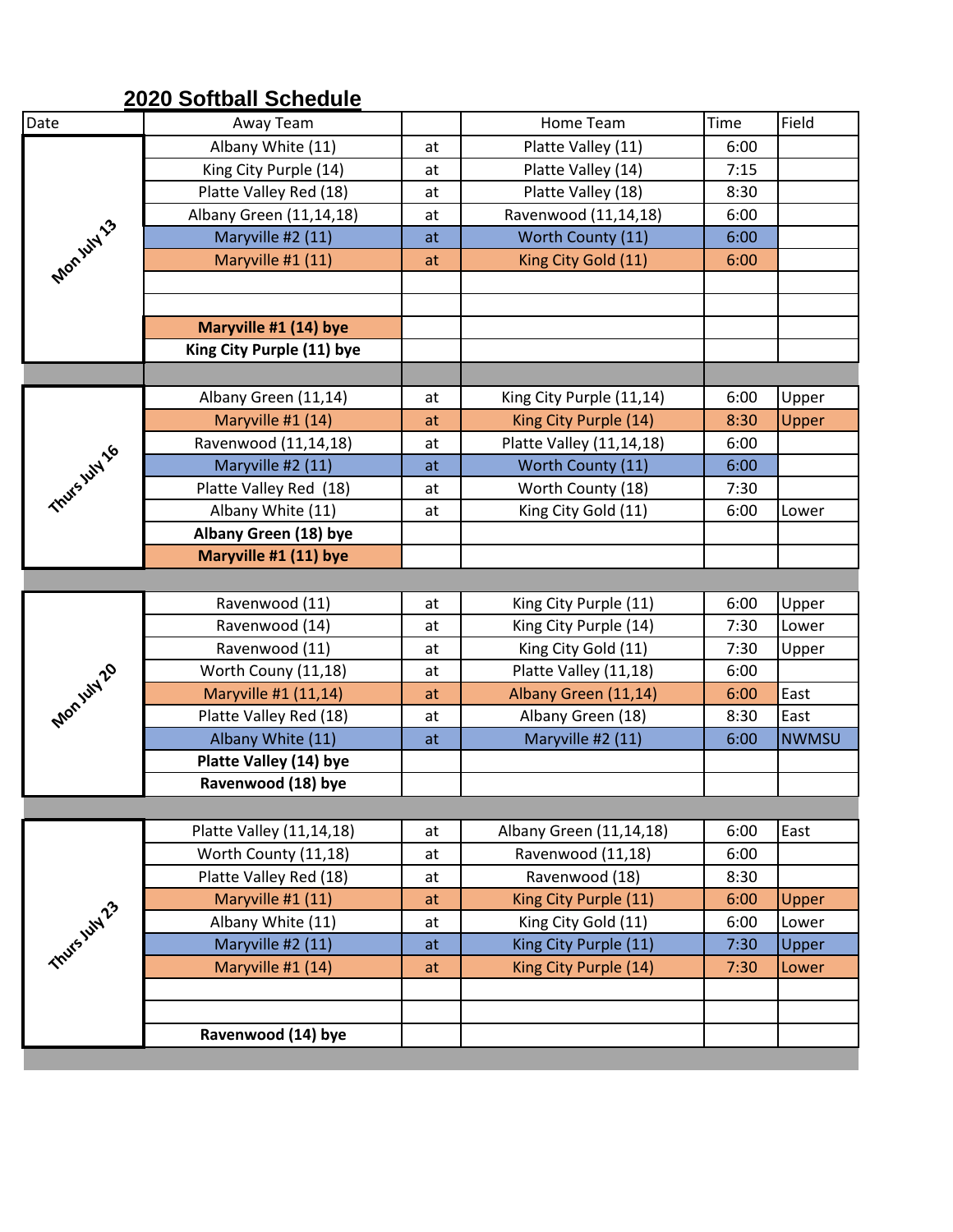## **2020 Softball Schedule**

| Date          | Away Team                 |    | Home Team                | Time | Field        |
|---------------|---------------------------|----|--------------------------|------|--------------|
| Mon.uity 3    | Albany White (11)         | at | Platte Valley (11)       | 6:00 |              |
|               | King City Purple (14)     | at | Platte Valley (14)       | 7:15 |              |
|               | Platte Valley Red (18)    | at | Platte Valley (18)       | 8:30 |              |
|               | Albany Green (11,14,18)   | at | Ravenwood (11,14,18)     | 6:00 |              |
|               | Maryville #2 (11)         | at | Worth County (11)        | 6:00 |              |
|               | Maryville #1 (11)         | at | King City Gold (11)      | 6:00 |              |
|               |                           |    |                          |      |              |
|               |                           |    |                          |      |              |
|               | Maryville #1 (14) bye     |    |                          |      |              |
|               | King City Purple (11) bye |    |                          |      |              |
|               |                           |    |                          |      |              |
|               | Albany Green (11,14)      | at | King City Purple (11,14) | 6:00 | Upper        |
| Thurs july 16 | Maryville #1 (14)         | at | King City Purple (14)    | 8:30 | Upper        |
|               | Ravenwood (11,14,18)      | at | Platte Valley (11,14,18) | 6:00 |              |
|               | Maryville #2 (11)         | at | Worth County (11)        | 6:00 |              |
|               | Platte Valley Red (18)    | at | Worth County (18)        | 7:30 |              |
|               | Albany White (11)         | at | King City Gold (11)      | 6:00 | Lower        |
|               | Albany Green (18) bye     |    |                          |      |              |
|               | Maryville #1 (11) bye     |    |                          |      |              |
|               |                           |    |                          |      |              |
|               | Ravenwood (11)            | at | King City Purple (11)    | 6:00 | Upper        |
|               | Ravenwood (14)            | at | King City Purple (14)    | 7:30 | Lower        |
|               | Ravenwood (11)            | at | King City Gold (11)      | 7:30 | Upper        |
|               | Worth Couny (11,18)       | at | Platte Valley (11,18)    | 6:00 |              |
|               | Maryville #1 (11,14)      | at | Albany Green (11,14)     | 6:00 | East         |
| Mon.uivi20    | Platte Valley Red (18)    | at | Albany Green (18)        | 8:30 | East         |
|               | Albany White (11)         | at | Maryville #2 (11)        | 6:00 | <b>NWMSU</b> |
|               | Platte Valley (14) bye    |    |                          |      |              |
|               | Ravenwood (18) bye        |    |                          |      |              |
|               |                           |    |                          |      |              |
|               | Platte Valley (11,14,18)  | at | Albany Green (11,14,18)  | 6:00 | East         |
| Thurs July 23 | Worth County (11,18)      | at | Ravenwood (11,18)        | 6:00 |              |
|               | Platte Valley Red (18)    | at | Ravenwood (18)           | 8:30 |              |
|               | Maryville #1 (11)         | at | King City Purple (11)    | 6:00 | Upper        |
|               | Albany White (11)         | at | King City Gold (11)      | 6:00 | Lower        |
|               | Maryville #2 (11)         | at | King City Purple (11)    | 7:30 | Upper        |
|               | Maryville #1 (14)         | at | King City Purple (14)    | 7:30 | Lower        |
|               |                           |    |                          |      |              |
|               |                           |    |                          |      |              |
|               | Ravenwood (14) bye        |    |                          |      |              |